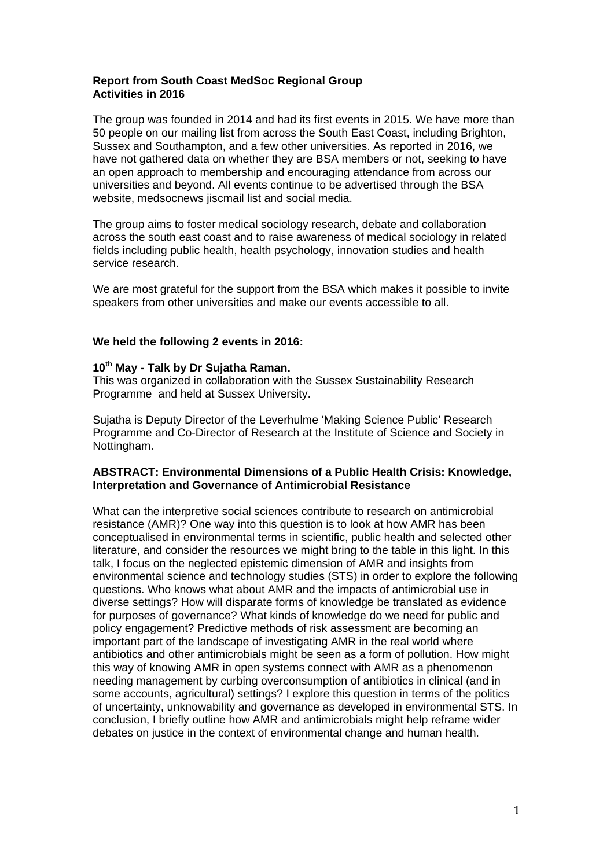## **Report from South Coast MedSoc Regional Group Activities in 2016**

The group was founded in 2014 and had its first events in 2015. We have more than 50 people on our mailing list from across the South East Coast, including Brighton, Sussex and Southampton, and a few other universities. As reported in 2016, we have not gathered data on whether they are BSA members or not, seeking to have an open approach to membership and encouraging attendance from across our universities and beyond. All events continue to be advertised through the BSA website, medsocnews jiscmail list and social media.

The group aims to foster medical sociology research, debate and collaboration across the south east coast and to raise awareness of medical sociology in related fields including public health, health psychology, innovation studies and health service research.

We are most grateful for the support from the BSA which makes it possible to invite speakers from other universities and make our events accessible to all.

# **We held the following 2 events in 2016:**

### **10th May - Talk by Dr Sujatha Raman.**

This was organized in collaboration with the Sussex Sustainability Research Programme and held at Sussex University.

Sujatha is Deputy Director of the Leverhulme 'Making Science Public' Research Programme and Co-Director of Research at the Institute of Science and Society in Nottingham.

### **ABSTRACT: Environmental Dimensions of a Public Health Crisis: Knowledge, Interpretation and Governance of Antimicrobial Resistance**

What can the interpretive social sciences contribute to research on antimicrobial resistance (AMR)? One way into this question is to look at how AMR has been conceptualised in environmental terms in scientific, public health and selected other literature, and consider the resources we might bring to the table in this light. In this talk, I focus on the neglected epistemic dimension of AMR and insights from environmental science and technology studies (STS) in order to explore the following questions. Who knows what about AMR and the impacts of antimicrobial use in diverse settings? How will disparate forms of knowledge be translated as evidence for purposes of governance? What kinds of knowledge do we need for public and policy engagement? Predictive methods of risk assessment are becoming an important part of the landscape of investigating AMR in the real world where antibiotics and other antimicrobials might be seen as a form of pollution. How might this way of knowing AMR in open systems connect with AMR as a phenomenon needing management by curbing overconsumption of antibiotics in clinical (and in some accounts, agricultural) settings? I explore this question in terms of the politics of uncertainty, unknowability and governance as developed in environmental STS. In conclusion, I briefly outline how AMR and antimicrobials might help reframe wider debates on justice in the context of environmental change and human health.